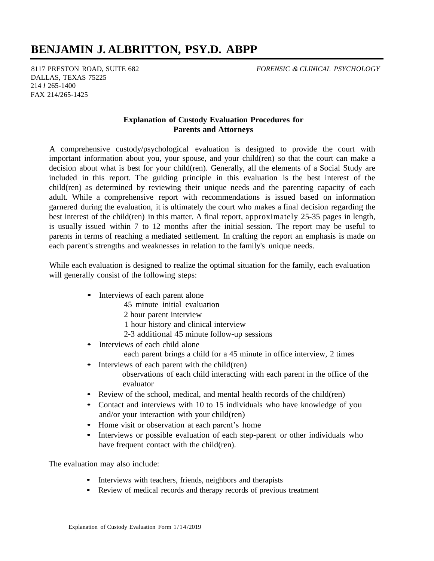## **BENJAMIN J. ALBRITTON, PSY.D. ABPP**

8117 PRESTON ROAD, SUITE 682 DALLAS, TEXAS 75225 214 *I* 265-1400 FAX 214/265-1425

*FORENSIC & CLINICAL PSYCHOLOGY*

## **Explanation of Custody Evaluation Procedures for Parents and Attorneys**

A comprehensive custody/psychological evaluation is designed to provide the court with important information about you, your spouse, and your child(ren) so that the court can make a decision about what is best for your child(ren). Generally, all the elements of a Social Study are included in this report. The guiding principle in this evaluation is the best interest of the child(ren) as determined by reviewing their unique needs and the parenting capacity of each adult. While a comprehensive report with recommendations is issued based on information garnered during the evaluation, it is ultimately the court who makes a final decision regarding the best interest of the child(ren) in this matter. A final report, approximately 25-35 pages in length, is usually issued within 7 to 12 months after the initial session. The report may be useful to parents in terms of reaching a mediated settlement. In crafting the report an emphasis is made on each parent's strengths and weaknesses in relation to the family's unique needs.

While each evaluation is designed to realize the optimal situation for the family, each evaluation will generally consist of the following steps:

- Interviews of each parent alone
	- 45 minute initial evaluation
	- 2 hour parent interview
	- 1 hour history and clinical interview
	- 2-3 additional 45 minute follow-up sessions
- Interviews of each child alone
	- each parent brings a child for a 45 minute in office interview, 2 times
- Interviews of each parent with the child(ren) observations of each child interacting with each parent in the office of the evaluator
- Review of the school, medical, and mental health records of the child(ren)
- Contact and interviews with 10 to 15 individuals who have knowledge of you and/or your interaction with your child(ren)
- Home visit or observation at each parent's home
- Interviews or possible evaluation of each step-parent or other individuals who have frequent contact with the child(ren).

The evaluation may also include:

- Interviews with teachers, friends, neighbors and therapists
- Review of medical records and therapy records of previous treatment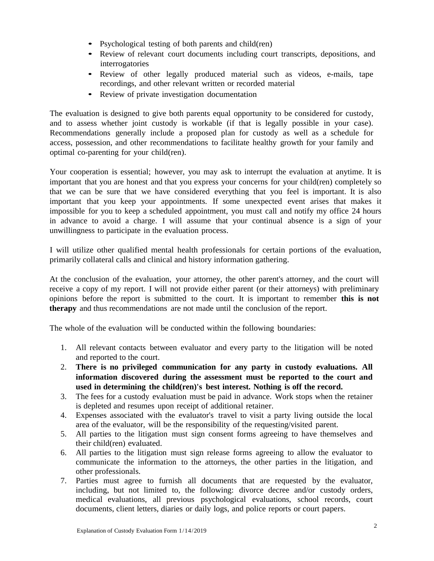- Psychological testing of both parents and child(ren)
- Review of relevant court documents including court transcripts, depositions, and interrogatories
- Review of other legally produced material such as videos, e-mails, tape recordings, and other relevant written or recorded material
- Review of private investigation documentation

The evaluation is designed to give both parents equal opportunity to be considered for custody, and to assess whether joint custody is workable (if that is legally possible in your case). Recommendations generally include a proposed plan for custody as well as a schedule for access, possession, and other recommendations to facilitate healthy growth for your family and optimal co-parenting for your child(ren).

Your cooperation is essential; however, you may ask to interrupt the evaluation at anytime. It is important that you are honest and that you express your concerns for your child(ren) completely so that we can be sure that we have considered everything that you feel is important. It is also important that you keep your appointments. If some unexpected event arises that makes it impossible for you to keep a scheduled appointment, you must call and notify my office 24 hours in advance to avoid a charge. I will assume that your continual absence is a sign of your unwillingness to participate in the evaluation process.

I will utilize other qualified mental health professionals for certain portions of the evaluation, primarily collateral calls and clinical and history information gathering.

At the conclusion of the evaluation, your attorney, the other parent's attorney, and the court will receive a copy of my report. I will not provide either parent (or their attorneys) with preliminary opinions before the report is submitted to the court. It is important to remember **this is not therapy** and thus recommendations are not made until the conclusion of the report.

The whole of the evaluation will be conducted within the following boundaries:

- 1. All relevant contacts between evaluator and every party to the litigation will be noted and reported to the court.
- 2. **There is no privileged communication for any party in custody evaluations. All information discovered during the assessment must be reported to the court and used in determining the child(ren)'s best interest. Nothing is off the record.**
- 3. The fees for a custody evaluation must be paid in advance. Work stops when the retainer is depleted and resumes upon receipt of additional retainer.
- 4. Expenses associated with the evaluator's travel to visit a party living outside the local area of the evaluator, will be the responsibility of the requesting/visited parent.
- 5. All parties to the litigation must sign consent forms agreeing to have themselves and their child(ren) evaluated.
- 6. All parties to the litigation must sign release forms agreeing to allow the evaluator to communicate the information to the attorneys, the other parties in the litigation, and other professionals.
- 7. Parties must agree to furnish all documents that are requested by the evaluator, including, but not limited to, the following: divorce decree and/or custody orders, medical evaluations, all previous psychological evaluations, school records, court documents, client letters, diaries or daily logs, and police reports or court papers.